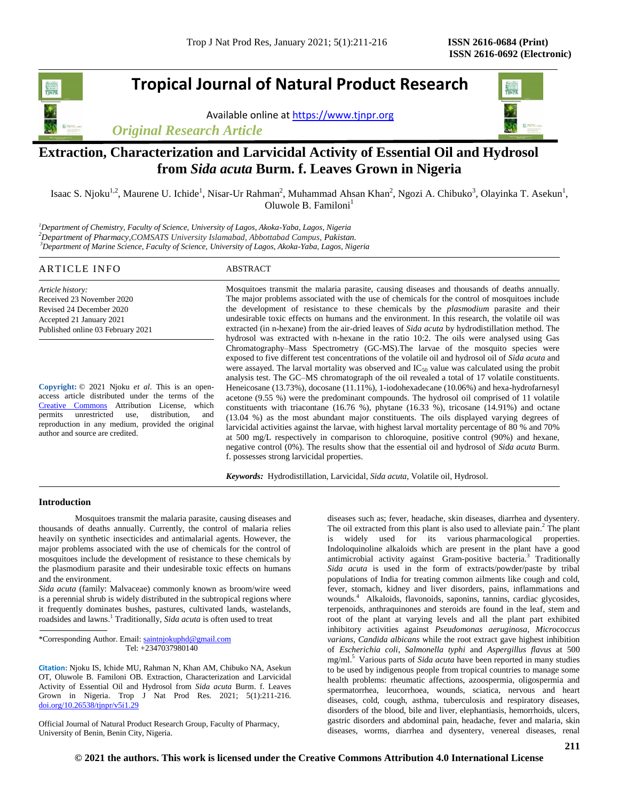# **Tropical Journal of Natural Product Research**

Available online at [https://www.tjnpr.org](https://www.tjnpr.org/)



# *Original Research Article*

# **Extraction, Characterization and Larvicidal Activity of Essential Oil and Hydrosol from** *Sida acuta* **Burm. f. Leaves Grown in Nigeria**

Isaac S. Njoku<sup>1,2</sup>, Maurene U. Ichide<sup>1</sup>, Nisar-Ur Rahman<sup>2</sup>, Muhammad Ahsan Khan<sup>2</sup>, Ngozi A. Chibuko<sup>3</sup>, Olayinka T. Asekun<sup>1</sup>, Oluwole B. Familoni $<sup>1</sup>$ </sup>

*<sup>1</sup>Department of Chemistry, Faculty of Science, University of Lagos, Akoka-Yaba, Lagos, Nigeria <sup>2</sup>Department of Pharmacy,COMSATS University Islamabad, Abbottabad Campus, Pakistan. <sup>3</sup>Department of Marine Science, Faculty of Science, University of Lagos, Akoka-Yaba, Lagos, Nigeria*

| ARTICLE INFO                                                                                                                               | ABSTRACT                                                                                                                                                                                                                                                                                                                                                                                                                                                                                                                                                                                                |
|--------------------------------------------------------------------------------------------------------------------------------------------|---------------------------------------------------------------------------------------------------------------------------------------------------------------------------------------------------------------------------------------------------------------------------------------------------------------------------------------------------------------------------------------------------------------------------------------------------------------------------------------------------------------------------------------------------------------------------------------------------------|
| Article history:<br>Received 23 November 2020<br>Revised 24 December 2020<br>Accepted 21 January 2021<br>Published online 03 February 2021 | Mosquitoes transmit the malaria parasite, causing diseases and thousands of deaths annually.<br>The major problems associated with the use of chemicals for the control of mosquitoes include<br>the development of resistance to these chemicals by the <i>plasmodium</i> parasite and their<br>undesirable toxic effects on humans and the environment. In this research, the volatile oil was<br>extracted (in n-hexane) from the air-dried leaves of <i>Sida acuta</i> by hydrodistillation method. The<br>hydrosol was extracted with n-hexane in the ratio 10:2. The oils were analysed using Gas |
| <b>Copyright:</b> $\odot$ 2021 Njoku <i>et al.</i> This is an open-                                                                        | Chromatography–Mass Spectrometry (GC-MS). The larvae of the mosquito species were<br>exposed to five different test concentrations of the volatile oil and hydrosol oil of Sida acuta and<br>were assayed. The larval mortality was observed and $IC_{50}$ value was calculated using the probit<br>analysis test. The GC-MS chromatograph of the oil revealed a total of 17 volatile constituents.<br>Heneicosane $(13.73\%)$ , docosane $(11.11\%)$ , 1-iodohexadecane $(10.06\%)$ and hexa-hydrofarnesyl                                                                                             |

access article distributed under the terms of the [Creative Commons](https://creativecommons.org/licenses/by/4.0/) Attribution License, which permits unrestricted use, distribution, and reproduction in any medium, provided the original author and source are credited.

acetone (9.55 %) were the predominant compounds. The hydrosol oil comprised of 11 volatile constituents with triacontane (16.76 %), phytane (16.33 %), tricosane (14.91%) and octane (13.04 %) as the most abundant major constituents. The oils displayed varying degrees of larvicidal activities against the larvae, with highest larval mortality percentage of 80 % and 70% at 500 mg/L respectively in comparison to chloroquine, positive control (90%) and hexane, negative control (0%). The results show that the essential oil and hydrosol of *Sida acuta* Burm. f. possesses strong larvicidal properties.

*Keywords:* Hydrodistillation, Larvicidal, *Sida acuta,* Volatile oil, Hydrosol.

### **Introduction**

Mosquitoes transmit the malaria parasite, causing diseases and thousands of deaths annually. Currently, the control of malaria relies heavily on synthetic insecticides and antimalarial agents. However, the major problems associated with the use of chemicals for the control of mosquitoes include the development of resistance to these chemicals by the plasmodium parasite and their undesirable toxic effects on humans and the environment.

*Sida acuta* (family: Malvaceae) commonly known as broom/wire weed is a perennial shrub is widely distributed in the subtropical regions where it frequently dominates bushes, pastures, cultivated lands, wastelands, roadsides and lawns. 1 Traditionally, *Sida acuta* is often used to treat

\*Corresponding Author. Email: [saintnjokuphd@gmail.com](mailto:saintnjokuphd@gmail.com) Tel: +2347037980140

**Citation:** Njoku IS, Ichide MU, Rahman N, Khan AM, Chibuko NA, Asekun OT, Oluwole B. Familoni OB. Extraction, Characterization and Larvicidal Activity of Essential Oil and Hydrosol from *Sida acuta* Burm. f. Leaves Grown in Nigeria. Trop J Nat Prod Res. 2021; 5(1):211-216. [doi.org/10.26538/tjnpr/v5i1.2](http://www.doi.org/10.26538/tjnpr/v1i4.5)9

Official Journal of Natural Product Research Group, Faculty of Pharmacy, University of Benin, Benin City, Nigeria.

diseases such as; fever, headache, skin diseases, diarrhea and dysentery. The oil extracted from this plant is also used to alleviate pain. $2$  The plant is widely used for its various pharmacological properties. Indoloquinoline alkaloids which are present in the plant have a good antimicrobial activity against Gram-positive bacteria.<sup>3</sup> Traditionally *Sida acuta* is used in the form of extracts/powder/paste by tribal populations of India for treating common ailments like cough and cold, fever, stomach, kidney and liver disorders, pains, inflammations and wounds.<sup>4</sup> Alkaloids, flavonoids, saponins, tannins, cardiac glycosides, terpenoids, anthraquinones and steroids are found in the leaf, stem and root of the plant at varying levels and all the plant part exhibited inhibitory activities against *Pseudomonas aeruginosa*, *Micrococcus varians*, *Candida albicans* while the root extract gave highest inhibition of *Escherichia coli*, *Salmonella typhi* and *Aspergillus flavus* at 500 mg/ml.<sup>5</sup> Various parts of *Sida acuta* have been reported in many studies to be used by indigenous people from tropical countries to manage some health problems: rheumatic affections, azoospermia, oligospermia and spermatorrhea, leucorrhoea, wounds, sciatica, nervous and heart diseases, cold, cough, asthma, tuberculosis and respiratory diseases, disorders of the blood, bile and liver, elephantiasis, hemorrhoids, ulcers, gastric disorders and abdominal pain, headache, fever and malaria, skin diseases, worms, diarrhea and dysentery, venereal diseases, renal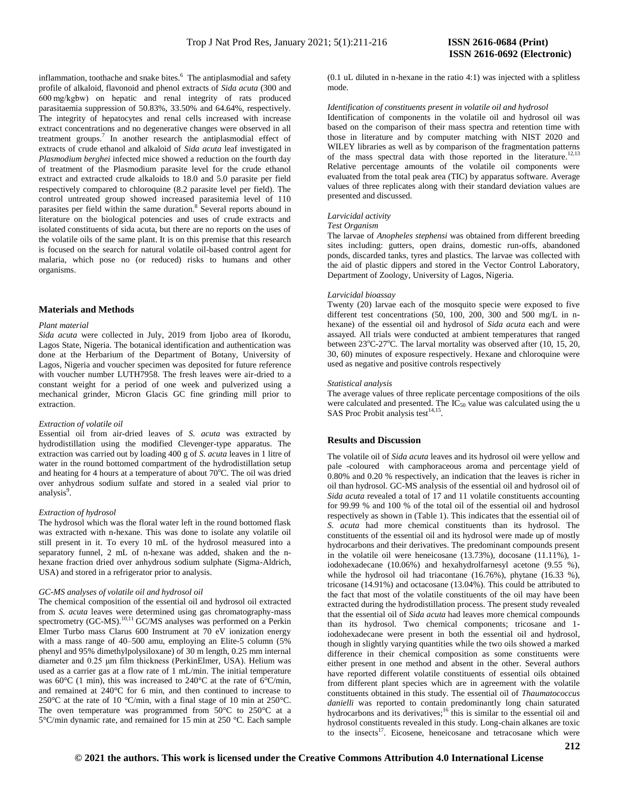inflammation, toothache and snake bites.<sup>6</sup> The antiplasmodial and safety profile of alkaloid, flavonoid and phenol extracts of *Sida acuta* (300 and 600 mg/kgbw) on hepatic and renal integrity of rats produced parasitaemia suppression of 50.83%, 33.50% and 64.64%, respectively. The integrity of hepatocytes and renal cells increased with increase extract concentrations and no degenerative changes were observed in all treatment groups.<sup>7</sup> In another research the antiplasmodial effect of extracts of crude ethanol and alkaloid of *Sida acuta* leaf investigated in *Plasmodium berghei* infected mice showed a reduction on the fourth day of treatment of the Plasmodium parasite level for the crude ethanol extract and extracted crude alkaloids to 18.0 and 5.0 parasite per field respectively compared to chloroquine (8.2 parasite level per field). The control untreated group showed increased parasitemia level of 110 parasites per field within the same duration.<sup>8</sup> Several reports abound in literature on the biological potencies and uses of crude extracts and isolated constituents of sida acuta, but there are no reports on the uses of the volatile oils of the same plant. It is on this premise that this research is focused on the search for natural volatile oil-based control agent for malaria, which pose no (or reduced) risks to humans and other organisms.

#### **Materials and Methods**

#### *Plant material*

*Sida acuta* were collected in July, 2019 from Ijobo area of Ikorodu, Lagos State, Nigeria. The botanical identification and authentication was done at the Herbarium of the Department of Botany, University of Lagos, Nigeria and voucher specimen was deposited for future reference with voucher number LUTH7958. The fresh leaves were air-dried to a constant weight for a period of one week and pulverized using a mechanical grinder, Micron Glacis GC fine grinding mill prior to extraction.

#### *Extraction of volatile oil*

Essential oil from air-dried leaves of *S. acuta* was extracted by hydrodistillation using the modified Clevenger-type apparatus. The extraction was carried out by loading 400 g of *S. acuta* leaves in 1 litre of water in the round bottomed compartment of the hydrodistillation setup and heating for 4 hours at a temperature of about  $70^{\circ}$ C. The oil was dried over anhydrous sodium sulfate and stored in a sealed vial prior to analysis<sup>9</sup>.

#### *Extraction of hydrosol*

The hydrosol which was the floral water left in the round bottomed flask was extracted with n-hexane. This was done to isolate any volatile oil still present in it. To every 10 mL of the hydrosol measured into a separatory funnel, 2 mL of n-hexane was added, shaken and the nhexane fraction dried over anhydrous sodium sulphate (Sigma-Aldrich, USA) and stored in a refrigerator prior to analysis.

#### *GC-MS analyses of volatile oil and hydrosol oil*

The chemical composition of the essential oil and hydrosol oil extracted from *S. acuta* leaves were determined using gas chromatography-mass spectrometry (GC-MS).<sup>10,11</sup> GC/MS analyses was performed on a Perkin Elmer Turbo mass Clarus 600 Instrument at 70 eV ionization energy with a mass range of 40–500 amu, employing an Elite-5 column (5% phenyl and 95% dimethylpolysiloxane) of 30 m length, 0.25 mm internal diameter and 0.25 μm film thickness (PerkinElmer, USA). Helium was used as a carrier gas at a flow rate of 1 mL/min. The initial temperature was  $60^{\circ}$ C (1 min), this was increased to 240 $^{\circ}$ C at the rate of 6 $^{\circ}$ C/min, and remained at 240°C for 6 min, and then continued to increase to 250°C at the rate of 10 °C/min, with a final stage of 10 min at 250°C. The oven temperature was programmed from 50°C to 250°C at a 5°C/min dynamic rate, and remained for 15 min at 250 °C. Each sample

(0.1 uL diluted in n-hexane in the ratio 4:1) was injected with a splitless mode.

#### *Identification of constituents present in volatile oil and hydrosol*

Identification of components in the volatile oil and hydrosol oil was based on the comparison of their mass spectra and retention time with those in literature and by computer matching with NIST 2020 and WILEY libraries as well as by comparison of the fragmentation patterns of the mass spectral data with those reported in the literature.<sup>12,13</sup> Relative percentage amounts of the volatile oil components were evaluated from the total peak area (TIC) by apparatus software. Average values of three replicates along with their standard deviation values are presented and discussed.

#### *Larvicidal activity*

#### *Test Organism*

The larvae of *Anopheles stephensi* was obtained from different breeding sites including: gutters, open drains, domestic run-offs, abandoned ponds, discarded tanks, tyres and plastics. The larvae was collected with the aid of plastic dippers and stored in the Vector Control Laboratory, Department of Zoology, University of Lagos, Nigeria.

#### *Larvicidal bioassay*

Twenty (20) larvae each of the mosquito specie were exposed to five different test concentrations (50, 100, 200, 300 and 500 mg/L in nhexane) of the essential oil and hydrosol of *Sida acuta* each and were assayed. All trials were conducted at ambient temperatures that ranged between  $23^{\circ}$ C-27<sup>o</sup>C. The larval mortality was observed after (10, 15, 20, 30, 60) minutes of exposure respectively. Hexane and chloroquine were used as negative and positive controls respectively

#### *Statistical analysis*

The average values of three replicate percentage compositions of the oils were calculated and presented. The  $IC_{50}$  value was calculated using the u SAS Proc Probit analysis test $^{14,15}$ .

#### **Results and Discussion**

The volatile oil of *Sida acuta* leaves and its hydrosol oil were yellow and pale -coloured with camphoraceous aroma and percentage yield of 0.80% and 0.20 % respectively, an indication that the leaves is richer in oil than hydrosol. GC-MS analysis of the essential oil and hydrosol oil of *Sida acuta* revealed a total of 17 and 11 volatile constituents accounting for 99.99 % and 100 % of the total oil of the essential oil and hydrosol respectively as shown in (Table 1). This indicates that the essential oil of *S. acuta* had more chemical constituents than its hydrosol. The constituents of the essential oil and its hydrosol were made up of mostly hydrocarbons and their derivatives. The predominant compounds present in the volatile oil were heneicosane  $(13.73%)$ , docosane  $(11.11%)$ , 1iodohexadecane (10.06%) and hexahydrolfarnesyl acetone (9.55 %), while the hydrosol oil had triacontane (16.76%), phytane (16.33 %), tricosane (14.91%) and octacosane (13.04%). This could be attributed to the fact that most of the volatile constituents of the oil may have been extracted during the hydrodistillation process. The present study revealed that the essential oil of *Sida acuta* had leaves more chemical compounds than its hydrosol. Two chemical components; tricosane and 1 iodohexadecane were present in both the essential oil and hydrosol, though in slightly varying quantities while the two oils showed a marked difference in their chemical composition as some constituents were either present in one method and absent in the other. Several authors have reported different volatile constituents of essential oils obtained from different plant species which are in agreement with the volatile constituents obtained in this study. The essential oil of *Thaumatococcus danielli* was reported to contain predominantly long chain saturated hydrocarbons and its derivatives;<sup>16</sup> this is similar to the essential oil and hydrosol constituents revealed in this study. Long-chain alkanes are toxic to the insects<sup>17</sup>. Eicosene, heneicosane and tetracosane which were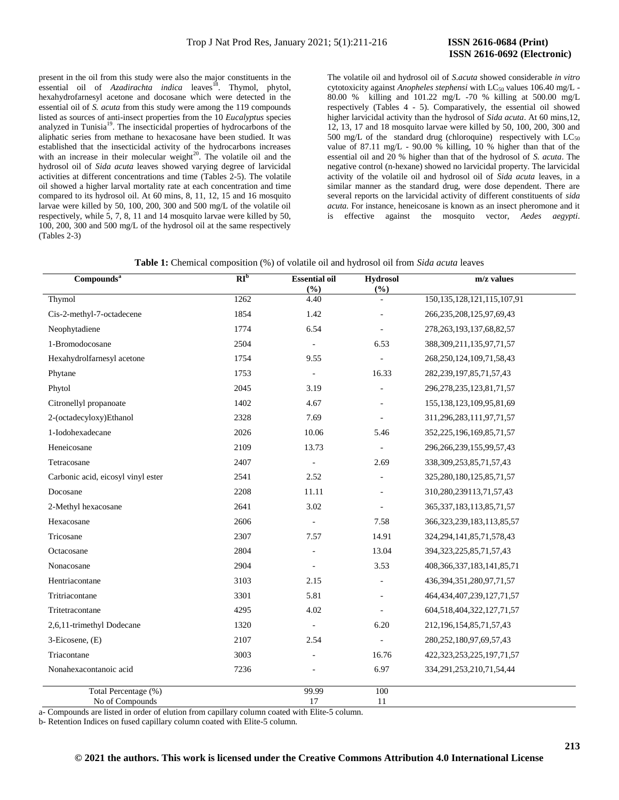# **ISSN 2616-0692 (Electronic)**

present in the oil from this study were also the major constituents in the essential oil of *Azadirachta indica* leaves<sup>18</sup>. Thymol, phytol, hexahydrofarnesyl acetone and docosane which were detected in the essential oil of *S. acuta* from this study were among the 119 compounds listed as sources of anti-insect properties from the 10 *Eucalyptus* species analyzed in Tunisia<sup>19</sup>. The insecticidal properties of hydrocarbons of the aliphatic series from methane to hexacosane have been studied. It was established that the insecticidal activity of the hydrocarbons increases with an increase in their molecular weight<sup>20</sup>. The volatile oil and the hydrosol oil of *Sida acuta* leaves showed varying degree of larvicidal activities at different concentrations and time (Tables 2-5). The volatile oil showed a higher larval mortality rate at each concentration and time compared to its hydrosol oil. At 60 mins, 8, 11, 12, 15 and 16 mosquito larvae were killed by 50, 100, 200, 300 and 500 mg/L of the volatile oil respectively, while 5, 7, 8, 11 and 14 mosquito larvae were killed by 50, 100, 200, 300 and 500 mg/L of the hydrosol oil at the same respectively (Tables 2-3)

The volatile oil and hydrosol oil of *S.acuta* showed considerable *in vitro* cytotoxicity against *Anopheles stephensi* with LC<sub>50</sub> values 106.40 mg/L -80.00 % killing and 101.22 mg/L -70 % killing at 500.00 mg/L respectively (Tables 4 - 5). Comparatively, the essential oil showed higher larvicidal activity than the hydrosol of *Sida acuta*. At 60 mins,12, 12, 13, 17 and 18 mosquito larvae were killed by 50, 100, 200, 300 and 500 mg/L of the standard drug (chloroquine) respectively with  $LC_{50}$ value of 87.11 mg/L - 90.00 % killing, 10 % higher than that of the essential oil and 20 % higher than that of the hydrosol of *S. acuta*. The negative control (n-hexane) showed no larvicidal property. The larvicidal activity of the volatile oil and hydrosol oil of *Sida acuta* leaves, in a similar manner as the standard drug, were dose dependent. There are several reports on the larvicidal activity of different constituents of *sida acuta.* For instance, heneicosane is known as an insect pheromone and it is effective against the mosquito vector, *Aedes aegypti*.

**Table 1:** Chemical composition (%) of volatile oil and hydrosol oil from *Sida acuta* leaves

| Compounds <sup>a</sup>                  | RI <sub>b</sub> | <b>Essential oil</b><br>(%) | <b>Hydrosol</b><br>$(\%)$ | m/z values                       |
|-----------------------------------------|-----------------|-----------------------------|---------------------------|----------------------------------|
| Thymol                                  | 1262            | 4.40                        |                           | 150, 135, 128, 121, 115, 107, 91 |
| Cis-2-methyl-7-octadecene               | 1854            | 1.42                        |                           | 266, 235, 208, 125, 97, 69, 43   |
| Neophytadiene                           | 1774            | 6.54                        |                           | 278, 263, 193, 137, 68, 82, 57   |
| 1-Bromodocosane                         | 2504            | $\bar{a}$                   | 6.53                      | 388, 309, 211, 135, 97, 71, 57   |
| Hexahydrolfarnesyl acetone              | 1754            | 9.55                        |                           | 268, 250, 124, 109, 71, 58, 43   |
| Phytane                                 | 1753            |                             | 16.33                     | 282, 239, 197, 85, 71, 57, 43    |
| Phytol                                  | 2045            | 3.19                        |                           | 296, 278, 235, 123, 81, 71, 57   |
| Citronellyl propanoate                  | 1402            | 4.67                        |                           | 155, 138, 123, 109, 95, 81, 69   |
| 2-(octadecyloxy)Ethanol                 | 2328            | 7.69                        |                           | 311,296,283,111,97,71,57         |
| 1-Iodohexadecane                        | 2026            | 10.06                       | 5.46                      | 352, 225, 196, 169, 85, 71, 57   |
| Heneicosane                             | 2109            | 13.73                       | $\overline{\phantom{a}}$  | 296, 266, 239, 155, 99, 57, 43   |
| Tetracosane                             | 2407            | $\sim$                      | 2.69                      | 338, 309, 253, 85, 71, 57, 43    |
| Carbonic acid, eicosyl vinyl ester      | 2541            | 2.52                        |                           | 325, 280, 180, 125, 85, 71, 57   |
| Docosane                                | 2208            | 11.11                       | $\overline{a}$            | 310, 280, 239113, 71, 57, 43     |
| 2-Methyl hexacosane                     | 2641            | 3.02                        | $\overline{a}$            | 365, 337, 183, 113, 85, 71, 57   |
| Hexacosane                              | 2606            | $\overline{\phantom{a}}$    | 7.58                      | 366, 323, 239, 183, 113, 85, 57  |
| Tricosane                               | 2307            | 7.57                        | 14.91                     | 324, 294, 141, 85, 71, 578, 43   |
| Octacosane                              | 2804            |                             | 13.04                     | 394, 323, 225, 85, 71, 57, 43    |
| Nonacosane                              | 2904            |                             | 3.53                      | 408, 366, 337, 183, 141, 85, 71  |
| Hentriacontane                          | 3103            | 2.15                        | ÷,                        | 436, 394, 351, 280, 97, 71, 57   |
| Tritriacontane                          | 3301            | 5.81                        | $\overline{a}$            | 464, 434, 407, 239, 127, 71, 57  |
| Tritetracontane                         | 4295            | 4.02                        | $\overline{\phantom{a}}$  | 604, 518, 404, 322, 127, 71, 57  |
| 2,6,11-trimethyl Dodecane               | 1320            |                             | 6.20                      | 212, 196, 154, 85, 71, 57, 43    |
| 3-Eicosene, (E)                         | 2107            | 2.54                        |                           | 280, 252, 180, 97, 69, 57, 43    |
| Triacontane                             | 3003            |                             | 16.76                     | 422, 323, 253, 225, 197, 71, 57  |
| Nonahexacontanoic acid                  | 7236            |                             | 6.97                      | 334, 291, 253, 210, 71, 54, 44   |
| Total Percentage (%)<br>No of Compounds |                 | 99.99<br>17                 | 100<br>11                 |                                  |

a- Compounds are listed in order of elution from capillary column coated with Elite-5 column.

b- Retention Indices on fused capillary column coated with Elite-5 column.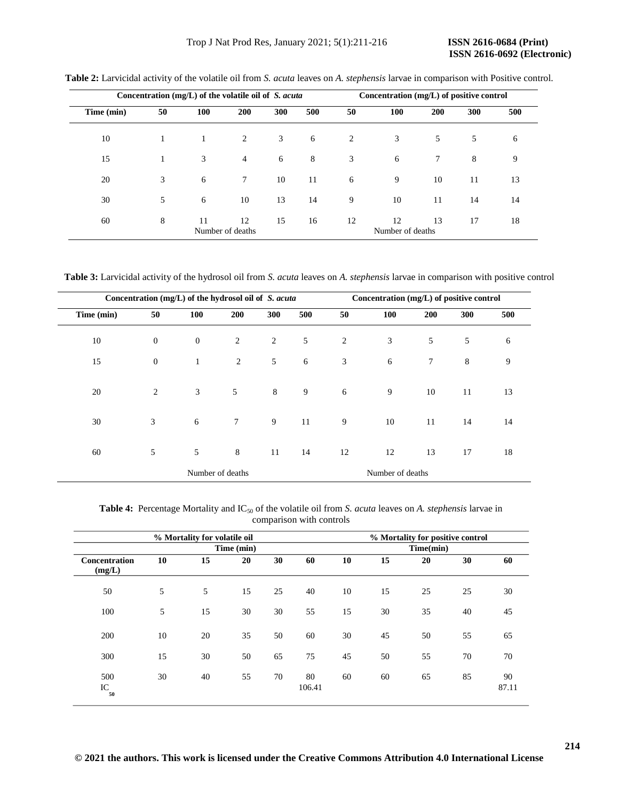## Trop J Nat Prod Res, January 2021; 5(1):211-216 **ISSN 2616-0684 (Print)**

|            | Concentration (mg/L) of the volatile oil of S. acuta |     |                        |     |     |    | Concentration (mg/L) of positive control |     |     |     |  |
|------------|------------------------------------------------------|-----|------------------------|-----|-----|----|------------------------------------------|-----|-----|-----|--|
| Time (min) | 50                                                   | 100 | 200                    | 300 | 500 | 50 | 100                                      | 200 | 300 | 500 |  |
| 10         | 1                                                    | 1   | 2                      | 3   | 6   | 2  | 3                                        | 5   | 5   | 6   |  |
| 15         |                                                      | 3   | $\overline{4}$         | 6   | 8   | 3  | 6                                        | 7   | 8   | 9   |  |
| 20         | 3                                                    | 6   | $\tau$                 | 10  | 11  | 6  | 9                                        | 10  | 11  | 13  |  |
| 30         | 5                                                    | 6   | 10                     | 13  | 14  | 9  | 10                                       | 11  | 14  | 14  |  |
| 60         | 8                                                    | 11  | 12<br>Number of deaths | 15  | 16  | 12 | 12<br>Number of deaths                   | 13  | 17  | 18  |  |

**Table 2:** Larvicidal activity of the volatile oil from *S. acuta* leaves on *A. stephensis* larvae in comparison with Positive control.

**Table 3:** Larvicidal activity of the hydrosol oil from *S. acuta* leaves on *A. stephensis* larvae in comparison with positive control

|            |              | Concentration (mg/L) of the hydrosol oil of S. acuta |                  |         |     | Concentration (mg/L) of positive control |                  |        |     |     |  |
|------------|--------------|------------------------------------------------------|------------------|---------|-----|------------------------------------------|------------------|--------|-----|-----|--|
| Time (min) | 50           | 100                                                  | 200              | 300     | 500 | 50                                       | 100              | 200    | 300 | 500 |  |
| 10         | $\mathbf{0}$ | $\boldsymbol{0}$                                     | 2                | 2       | 5   | $\overline{2}$                           | 3                | 5      | 5   | 6   |  |
| 15         | $\mathbf{0}$ | $\mathbf{1}$                                         | 2                | 5       | 6   | 3                                        | 6                | $\tau$ | 8   | 9   |  |
|            |              |                                                      |                  |         |     |                                          |                  |        |     |     |  |
| 20         | 2            | 3                                                    | 5                | $\,8\,$ | 9   | 6                                        | 9                | 10     | 11  | 13  |  |
| 30         | 3            | 6                                                    | $\tau$           | 9       | 11  | 9                                        | 10               | 11     | 14  | 14  |  |
| 60         | 5            | 5                                                    | 8                | 11      | 14  | 12                                       | 12               | 13     | 17  | 18  |  |
|            |              |                                                      | Number of deaths |         |     |                                          | Number of deaths |        |     |     |  |

Table 4: Percentage Mortality and IC<sub>50</sub> of the volatile oil from *S. acuta* leaves on *A. stephensis* larvae in comparison with controls

|                                |    | % Mortality for volatile oil |            |    | % Mortality for positive control<br>Time(min)<br>15<br>30<br>20<br>60<br>15<br>25<br>25<br>30<br>30<br>40<br>45<br>35<br>55<br>45<br>50<br>65 |    |    |    |    |             |  |
|--------------------------------|----|------------------------------|------------|----|-----------------------------------------------------------------------------------------------------------------------------------------------|----|----|----|----|-------------|--|
|                                |    |                              | Time (min) |    |                                                                                                                                               |    |    |    |    |             |  |
| <b>Concentration</b><br>(mg/L) | 10 | 15                           | 20         | 30 | 60                                                                                                                                            | 10 |    |    |    |             |  |
| 50                             | 5  | 5                            | 15         | 25 | 40                                                                                                                                            | 10 |    |    |    |             |  |
| 100                            | 5  | 15                           | 30         | 30 | 55                                                                                                                                            | 15 |    |    |    |             |  |
| 200                            | 10 | 20                           | 35         | 50 | 60                                                                                                                                            | 30 |    |    |    |             |  |
| 300                            | 15 | 30                           | 50         | 65 | 75                                                                                                                                            | 45 | 50 | 55 | 70 | 70          |  |
| 500<br>IC<br>50                | 30 | 40                           | 55         | 70 | 80<br>106.41                                                                                                                                  | 60 | 60 | 65 | 85 | 90<br>87.11 |  |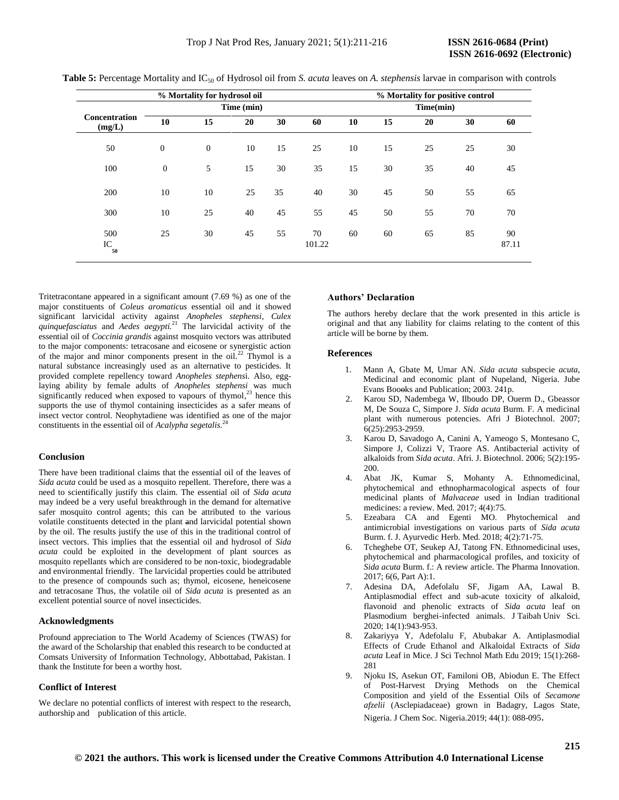|                                | % Mortality for hydrosol oil |                  |            |    |              |           |    |    | % Mortality for positive control |             |  |  |  |  |  |
|--------------------------------|------------------------------|------------------|------------|----|--------------|-----------|----|----|----------------------------------|-------------|--|--|--|--|--|
|                                |                              |                  | Time (min) |    |              | Time(min) |    |    |                                  |             |  |  |  |  |  |
| <b>Concentration</b><br>(mg/L) | 10                           | 15               | 20         | 30 | 60           | 10        | 15 | 20 | 30                               | 60          |  |  |  |  |  |
| 50                             | $\boldsymbol{0}$             | $\boldsymbol{0}$ | 10         | 15 | 25           | 10        | 15 | 25 | 25                               | 30          |  |  |  |  |  |
| 100                            | $\mathbf{0}$                 | 5                | 15         | 30 | 35           | 15        | 30 | 35 | 40                               | 45          |  |  |  |  |  |
| 200                            | 10                           | 10               | 25         | 35 | 40           | 30        | 45 | 50 | 55                               | 65          |  |  |  |  |  |
| 300                            | 10                           | 25               | 40         | 45 | 55           | 45        | 50 | 55 | 70                               | 70          |  |  |  |  |  |
| 500<br>IC<br>50                | 25                           | 30               | 45         | 55 | 70<br>101.22 | 60        | 60 | 65 | 85                               | 90<br>87.11 |  |  |  |  |  |

**Table 5:** Percentage Mortality and IC<sup>50</sup> of Hydrosol oil from *S. acuta* leaves on *A. stephensis* larvae in comparison with controls

Tritetracontane appeared in a significant amount (7.69 %) as one of the major constituents of *Coleus aromaticus* essential oil and it showed significant larvicidal activity against *Anopheles stephensi*, *Culex quinquefasciatus* and *Aedes aegypti.* <sup>21</sup> The larvicidal activity of the essential oil of *Coccinia grandis* against mosquito vectors was attributed to the major components: tetracosane and eicosene or synergistic action of the major and minor components present in the oil.<sup>22</sup> Thymol is a natural substance increasingly used as an alternative to pesticides. It provided complete repellency toward *Anopheles stephens*i. Also, egglaying ability by female adults of *Anopheles stephensi* was much significantly reduced when exposed to vapours of thymol,<sup>23</sup> hence this supports the use of thymol containing insecticides as a safer means of insect vector control. Neophytadiene was identified as one of the major constituents in the essential oil of *Acalypha segetalis.*<sup>24</sup>

## **Conclusion**

There have been traditional claims that the essential oil of the leaves of *Sida acuta* could be used as a mosquito repellent. Therefore, there was a need to scientifically justify this claim. The essential oil of *Sida acuta*  may indeed be a very useful breakthrough in the demand for alternative safer mosquito control agents; this can be attributed to the various volatile constituents detected in the plant and larvicidal potential shown by the oil. The results justify the use of this in the traditional control of insect vectors. This implies that the essential oil and hydrosol of *Sida acuta* could be exploited in the development of plant sources as mosquito repellants which are considered to be non-toxic, biodegradable and environmental friendly. The larvicidal properties could be attributed to the presence of compounds such as; thymol, eicosene, heneicosene and tetracosane Thus, the volatile oil of *Sida acuta* is presented as an excellent potential source of novel insecticides.

## **Acknowledgments**

Profound appreciation to The World Academy of Sciences (TWAS) for the award of the Scholarship that enabled this research to be conducted at Comsats University of Information Technology, Abbottabad, Pakistan. I thank the Institute for been a worthy host.

#### **Conflict of Interest**

We declare no potential conflicts of interest with respect to the research, authorship and publication of this article.

#### **Authors' Declaration**

The authors hereby declare that the work presented in this article is original and that any liability for claims relating to the content of this article will be borne by them.

#### **References**

- 1. Mann A, Gbate M, Umar AN. *Sida acuta* subspecie *acuta*, Medicinal and economic plant of Nupeland, Nigeria. Jube Evans Boooks and Publication; 2003. 241p.
- 2. Karou SD, Nadembega W, Ilboudo DP, Ouerm D., Gbeassor M, De Souza C, Simpore J. *Sida acuta* Burm. F. A medicinal plant with numerous potencies. Afri J Biotechnol. 2007; 6(25):2953-2959.
- 3. Karou D, Savadogo A, Canini A, Yameogo S, Montesano C, Simpore J, Colizzi V, Traore AS. Antibacterial activity of alkaloids from *Sida acuta*. Afri. J. Biotechnol. 2006; 5(2):195- 200.
- 4. Abat JK, Kumar S, Mohanty A. Ethnomedicinal, phytochemical and ethnopharmacological aspects of four medicinal plants of *Malvaceae* used in Indian traditional medicines: a review. Med. 2017; 4(4):75.
- 5. Ezeabara CA and Egenti MO. Phytochemical and antimicrobial investigations on various parts of *Sida acuta*  Burm. f. J. Ayurvedic Herb. Med. 2018; 4(2):71-75.
- 6. Tcheghebe OT, Seukep AJ, Tatong FN. Ethnomedicinal uses, phytochemical and pharmacological profiles, and toxicity of *Sida acuta* Burm. f.: A review article. The Pharma Innovation. 2017; 6(6, Part A):1.
- 7. Adesina DA, Adefolalu SF, Jigam AA, Lawal B. Antiplasmodial effect and sub-acute toxicity of alkaloid, flavonoid and phenolic extracts of *Sida acuta* leaf on Plasmodium berghei-infected animals. J Taibah Univ Sci. 2020; 14(1):943-953.
- 8. Zakariyya Y, Adefolalu F, Abubakar A. Antiplasmodial Effects of Crude Ethanol and Alkaloidal Extracts of *Sida acuta* Leaf in Mice. J Sci Technol Math Edu 2019; 15(1):268- 281
- 9. Njoku IS, Asekun OT, Familoni OB, Abiodun E. The Effect of Post-Harvest Drying Methods on the Chemical Composition and yield of the Essential Oils of *Secamone afzelii* (Asclepiadaceae) grown in Badagry, Lagos State, Nigeria. J Chem Soc. Nigeria.2019; 44(1): 088-095.